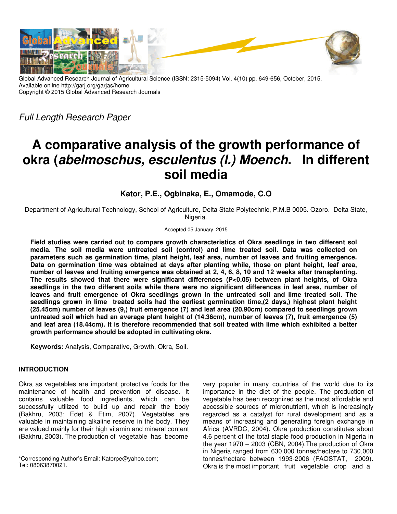

Global Advanced Research Journal of Agricultural Science (ISSN: 2315-5094) Vol. 4(10) pp. 649-656, October, 2015. Available online http://garj.org/garjas/home Copyright © 2015 Global Advanced Research Journals

Full Length Research Paper

# **A comparative analysis of the growth performance of okra (***abelmoschus, esculentus (l.) Moench***. In different soil media**

**Kator, P.E., Ogbinaka, E., Omamode, C.O** 

Department of Agricultural Technology, School of Agriculture, Delta State Polytechnic, P.M.B 0005. Ozoro. Delta State, Nigeria.

Accepted 05 January, 2015

**Field studies were carried out to compare growth characteristics of Okra seedlings in two different sol media. The soil media were untreated soil (control) and lime treated soil. Data was collected on parameters such as germination time, plant height, leaf area, number of leaves and fruiting emergence. Data on germination time was obtained at days after planting while, those on plant height, leaf area, number of leaves and fruiting emergence was obtained at 2, 4, 6, 8, 10 and 12 weeks after transplanting. The results showed that there were significant differences (P<0.05) between plant heights, of Okra seedlings in the two different soils while there were no significant differences in leaf area, number of leaves and fruit emergence of Okra seedlings grown in the untreated soil and lime treated soil. The seedlings grown in lime treated soils had the earliest germination time,(2 days,) highest plant height (25.45cm) number of leaves (9,) fruit emergence (7) and leaf area (20.90cm) compared to seedlings grown untreated soil which had an average plant height of (14.36cm), number of leaves (7), fruit emergence (5) and leaf area (18.44cm). It is therefore recommended that soil treated with lime which exhibited a better growth performance should be adopted in cultivating okra.** 

**Keywords:** Analysis, Comparative, Growth, Okra, Soil.

## **INTRODUCTION**

Okra as vegetables are important protective foods for the maintenance of health and prevention of disease. It contains valuable food ingredients, which can be successfully utilized to build up and repair the body (Bakhru, 2003; Edet & Etim, 2007). Vegetables are valuable in maintaining alkaline reserve in the body. They are valued mainly for their high vitamin and mineral content (Bakhru, 2003). The production of vegetable has become

\*Corresponding Author's Email: Katorpe@yahoo.com; Tel: 08063870021.

very popular in many countries of the world due to its importance in the diet of the people. The production of vegetable has been recognized as the most affordable and accessible sources of micronutrient, which is increasingly regarded as a catalyst for rural development and as a means of increasing and generating foreign exchange in Africa (AVRDC, 2004). Okra production constitutes about 4.6 percent of the total staple food production in Nigeria in the year 1970 – 2003 (CBN, 2004).The production of Okra in Nigeria ranged from 630,000 tonnes/hectare to 730,000 tonnes/hectare between 1993-2006 (FAOSTAT, 2009). Okra is the most important fruit vegetable crop and a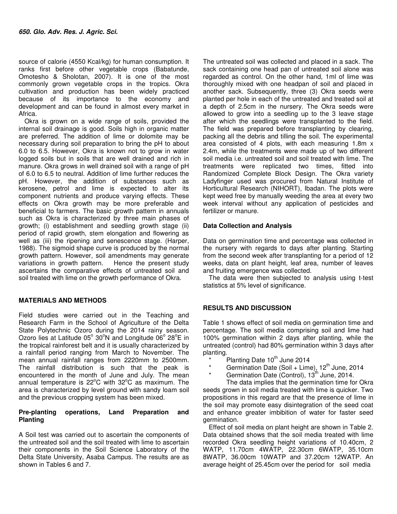source of calorie (4550 Kcal/kg) for human consumption. It ranks first before other vegetable crops (Babatunde, Omotesho & Sholotan, 2007). It is one of the most commonly grown vegetable crops in the tropics. Okra cultivation and production has been widely practiced because of its importance to the economy and development and can be found in almost every market in Africa.

Okra is grown on a wide range of soils, provided the internal soil drainage is good. Soils high in organic matter are preferred. The addition of lime or dolomite may be necessary during soil preparation to bring the pH to about 6.0 to 6.5. However, Okra is known not to grow in water logged soils but in soils that are well drained and rich in manure. Okra grows in well drained soil with a range of pH of 6.0 to 6.5 to neutral. Addition of lime further reduces the pH. However, the addition of substances such as kerosene, petrol and lime is expected to alter its component nutrients and produce varying effects. These effects on Okra growth may be more preferable and beneficial to farmers. The basic growth pattern in annuals such as Okra is characterized by three main phases of growth; (i) establishment and seedling growth stage (ii) period of rapid growth, stem elongation and flowering as well as (iii) the ripening and senescence stage. (Harper, 1988). The sigmoid shape curve is produced by the normal growth pattern. However, soil amendments may generate variations in growth pattern. Hence the present study ascertains the comparative effects of untreated soil and soil treated with lime on the growth performance of Okra.

## **MATERIALS AND METHODS**

Field studies were carried out in the Teaching and Research Farm in the School of Agriculture of the Delta State Polytechnic Ozoro during the 2014 rainy season. Ozoro lies at Latitude  $05^{\circ}$  30°N and Longitude  $06^{\circ}$  28°E in the tropical rainforest belt and it is usually characterized by a rainfall period ranging from March to November. The mean annual rainfall ranges from 2220mm to 2500mm. The rainfall distribution is such that the peak is encountered in the month of June and July. The mean annual temperature is  $22^{\circ}$ C with  $32^{\circ}$ C as maximum. The area is characterized by level ground with sandy loam soil and the previous cropping system has been mixed.

## **Pre-planting operations, Land Preparation and Planting**

A Soil test was carried out to ascertain the components of the untreated soil and the soil treated with lime to ascertain their components in the Soil Science Laboratory of the Delta State University, Asaba Campus. The results are as shown in Tables 6 and 7.

The untreated soil was collected and placed in a sack. The sack containing one head pan of untreated soil alone was regarded as control. On the other hand, 1ml of lime was thoroughly mixed with one headpan of soil and placed in another sack. Subsequently, three (3) Okra seeds were planted per hole in each of the untreated and treated soil at a depth of 2.5cm in the nursery. The Okra seeds were allowed to grow into a seedling up to the 3 leave stage after which the seedlings were transplanted to the field. The field was prepared before transplanting by clearing, packing all the debris and tilling the soil. The experimental area consisted of 4 plots, with each measuring 1.8m x 2.4m, while the treatments were made up of two different soil media i.e. untreated soil and soil treated with lime. The treatments were replicated two times, fitted into Randomized Complete Block Design. The Okra variety Ladyfinger used was procured from Natural Institute of Horticultural Research (NIHORT), Ibadan. The plots were kept weed free by manually weeding the area at every two week interval without any application of pesticides and fertilizer or manure.

## **Data Collection and Analysis**

Data on germination time and percentage was collected in the nursery with regards to days after planting. Starting from the second week after transplanting for a period of 12 weeks, data on plant height, leaf area, number of leaves and fruiting emergence was collected.

The data were then subjected to analysis using t-test statistics at 5% level of significance.

## **RESULTS AND DISCUSSION**

Table 1 shows effect of soil media on germination time and percentage. The soil media comprising soil and lime had 100% germination within 2 days after planting, while the untreated (control) had 80% germination within 3 days after planting.

- \* Planting Date  $10^{th}$  June 2014
- \* Germination Date (Soil + Lime),  $12^{th}$  June, 2014
	- Germination Date (Control),  $13^{th}$  June, 2014.

 The data implies that the germination time for Okra seeds grown in soil media treated with lime is quicker. Two propositions in this regard are that the presence of lime in the soil may promote easy disintegration of the seed coat and enhance greater imbibition of water for faster seed germination.

Effect of soil media on plant height are shown in Table 2. Data obtained shows that the soil media treated with lime recorded Okra seedling height variations of 10.40cm, 2 WATP, 11.70cm 4WATP, 22.30cm 6WATP, 35.10cm 8WATP, 36.00cm 10WATP and 37.20cm 12WATP. An average height of 25.45cm over the period for soil media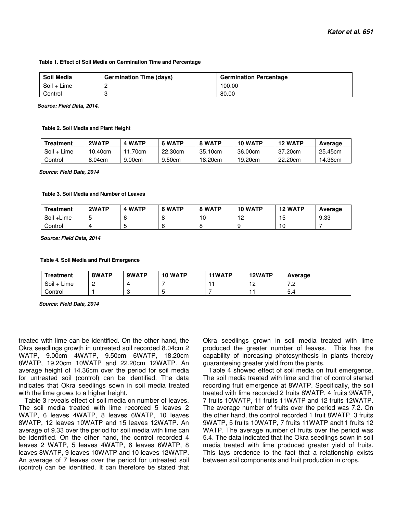#### **Table 1. Effect of Soil Media on Germination Time and Percentage**

| <b>Soil Media</b> | <b>Germination Time (days)</b> | <b>Germination Percentage</b> |
|-------------------|--------------------------------|-------------------------------|
| Soil + Lime       |                                | 100.00                        |
| Control           |                                | 80.00                         |

 *Source: Field Data, 2014.* 

#### **Table 2. Soil Media and Plant Height**

| Treatment   | 2WATP   | <b>4 WATP</b> | 6 WATP  | 8 WATP  | <b>10 WATP</b> | <b>12 WATP</b> | Average |
|-------------|---------|---------------|---------|---------|----------------|----------------|---------|
| Soil + Lime | 10.40cm | 70cm          | 22.30cm | 35.10cm | 36.00cm        | 37.20cm        | 25.45cm |
| Control     | 8.04cm  | 9.00cm        | 9.50cm  | 18.20cm | 19.20cm        | 22.20cm        | 14.36cm |

 *Source: Field Data, 2014* 

#### **Table 3. Soil Media and Number of Leaves**

| Treatment  | 2WATP | <b>4 WATP</b> | 6 WATP | 8 WATP | 10 WATP               | <b>12 WATP</b> | Average |
|------------|-------|---------------|--------|--------|-----------------------|----------------|---------|
| Soil +Lime |       | b             |        | 0      | - 1<br>$\cdot$ $\sim$ | 15             | 9.33    |
| Control    |       | .             |        |        |                       | 10             |         |

 *Source: Field Data, 2014* 

#### **Table 4. Soil Media and Fruit Emergence**

| <b>Treatment</b> | 8WATP | 9WATP | 10 WATP | <b>11WATP</b> | 12WATP | Average                       |
|------------------|-------|-------|---------|---------------|--------|-------------------------------|
| Soil<br>Lime     |       |       |         |               | -      | $\overline{\phantom{a}}$<br>. |
| Control          |       |       |         |               |        | 5.4                           |

 *Source: Field Data, 2014*

treated with lime can be identified. On the other hand, the Okra seedlings growth in untreated soil recorded 8.04cm 2 WATP, 9.00cm 4WATP, 9.50cm 6WATP, 18.20cm 8WATP, 19.20cm 10WATP and 22.20cm 12WATP. An average height of 14.36cm over the period for soil media for untreated soil (control) can be identified. The data indicates that Okra seedlings sown in soil media treated with the lime grows to a higher height.

Table 3 reveals effect of soil media on number of leaves. The soil media treated with lime recorded 5 leaves 2 WATP, 6 leaves 4WATP, 8 leaves 6WATP, 10 leaves 8WATP, 12 leaves 10WATP and 15 leaves 12WATP. An average of 9.33 over the period for soil media with lime can be identified. On the other hand, the control recorded 4 leaves 2 WATP, 5 leaves 4WATP, 6 leaves 6WATP, 8 leaves 8WATP, 9 leaves 10WATP and 10 leaves 12WATP. An average of 7 leaves over the period for untreated soil (control) can be identified. It can therefore be stated that Okra seedlings grown in soil media treated with lime produced the greater number of leaves. This has the capability of increasing photosynthesis in plants thereby guaranteeing greater yield from the plants.

Table 4 showed effect of soil media on fruit emergence. The soil media treated with lime and that of control started recording fruit emergence at 8WATP. Specifically, the soil treated with lime recorded 2 fruits 8WATP, 4 fruits 9WATP, 7 fruits 10WATP, 11 fruits 11WATP and 12 fruits 12WATP. The average number of fruits over the period was 7.2. On the other hand, the control recorded 1 fruit 8WATP, 3 fruits 9WATP, 5 fruits 10WATP, 7 fruits 11WATP and11 fruits 12 WATP. The average number of fruits over the period was 5.4. The data indicated that the Okra seedlings sown in soil media treated with lime produced greater yield of fruits. This lays credence to the fact that a relationship exists between soil components and fruit production in crops.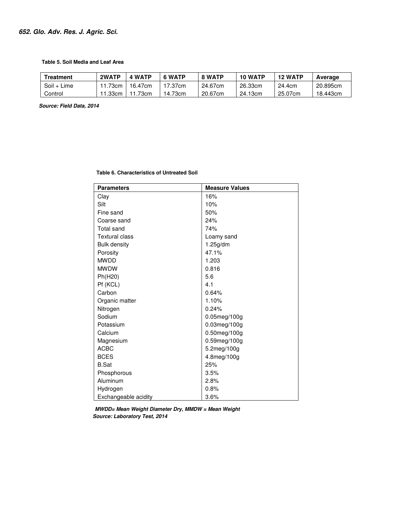#### **Table 5. Soil Media and Leaf Area**

| <b>Freatment</b> | 2WATP | <b>WATP</b><br>4 | 6 WATP  | 8 WATP  | <b>10 WATP</b> | <b>12 WATP</b> | Average  |
|------------------|-------|------------------|---------|---------|----------------|----------------|----------|
| Soil + Lime      | 73cm  | 16.47cm          | 17.37cm | 24.67cm | 26.33cm        | 24.4cm         | 20.895cm |
| Control          | .33cm | .73cm            | 14.73cm | 20.67cm | 24.13cm        | 25.07cm        | 18.443cm |

 *Source: Field Data, 2014* 

 **Table 6. Characteristics of Untreated Soil** 

| <b>Parameters</b>     | <b>Measure Values</b> |
|-----------------------|-----------------------|
| Clay                  | 16%                   |
| Silt                  | 10%                   |
| Fine sand             | 50%                   |
| Coarse sand           | 24%                   |
| <b>Total sand</b>     | 74%                   |
| <b>Textural class</b> | Loamy sand            |
| <b>Bulk density</b>   | 1.25g/dm              |
| Porosity              | 47.1%                 |
| <b>MWDD</b>           | 1.203                 |
| <b>MWDW</b>           | 0.816                 |
| Ph(H20)               | 5.6                   |
| Pf (KCL)              | 4.1                   |
| Carbon                | 0.64%                 |
| Organic matter        | 1.10%                 |
| Nitrogen              | 0.24%                 |
| Sodium                | 0.05meg/100g          |
| Potassium             | 0.03meg/100g          |
| Calcium               | 0.50meg/100g          |
| Magnesium             | 0.59meg/100g          |
| <b>ACBC</b>           | 5.2meg/100g           |
| <b>BCES</b>           | 4.8meg/100g           |
| <b>B.Sat</b>          | 25%                   |
| Phosphorous           | 3.5%                  |
| Aluminum              | 2.8%                  |
| Hydrogen              | 0.8%                  |
| Exchangeable acidity  | 3.6%                  |

*MWDD= Mean Weight Diameter Dry, MMDW = Mean Weight Source: Laboratory Test, 2014*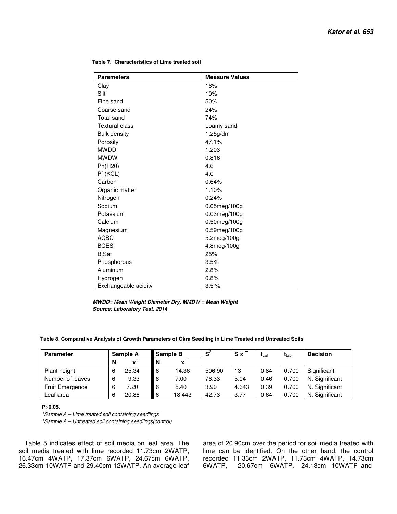| <b>Parameters</b>     | <b>Measure Values</b> |
|-----------------------|-----------------------|
| Clay                  | 16%                   |
| Silt                  | 10%                   |
| Fine sand             | 50%                   |
| Coarse sand           | 24%                   |
| Total sand            | 74%                   |
| <b>Textural class</b> | Loamy sand            |
| <b>Bulk density</b>   | 1.25g/dm              |
| Porosity              | 47.1%                 |
| <b>MWDD</b>           | 1.203                 |
| <b>MWDW</b>           | 0.816                 |
| Ph(H20)               | 4.6                   |
| Pf (KCL)              | 4.0                   |
| Carbon                | 0.64%                 |
| Organic matter        | 1.10%                 |
| Nitrogen              | 0.24%                 |
| Sodium                | $0.05$ meg/100g       |
| Potassium             | 0.03meg/100g          |
| Calcium               | $0.50$ meg/100g       |
| Magnesium             | 0.59meg/100g          |
| <b>ACBC</b>           | 5.2meg/100g           |
| <b>BCES</b>           | 4.8meg/100g           |
| <b>B.Sat</b>          | 25%                   |
| Phosphorous           | 3.5%                  |
| Aluminum              | 2.8%                  |
| Hydrogen              | 0.8%                  |
| Exchangeable acidity  | 3.5%                  |

 **Table 7. Characteristics of Lime treated soil** 

 *MWDD= Mean Weight Diameter Dry, MMDW = Mean Weight Source: Laboratory Test, 2014* 

#### **Table 8. Comparative Analysis of Growth Parameters of Okra Seedling in Lime Treated and Untreated Soils**

| <b>Parameter</b> |   | Sample A     | Sample B |        | $\mathbf{S}^2$ | $S_{\mathbf{X}}$ | $\mathbf{t}_{\mathrm{cal}}$ | $\mathbf{I}_{\text{tab}}$ | <b>Decision</b> |
|------------------|---|--------------|----------|--------|----------------|------------------|-----------------------------|---------------------------|-----------------|
|                  | N | $\mathbf{x}$ | N        | x      |                |                  |                             |                           |                 |
| Plant height     | 6 | 25.34        | II 6     | 14.36  | 506.90         | 13               | 0.84                        | 0.700                     | Significant     |
| Number of leaves | 6 | 9.33         | II 6     | 7.00   | 76.33          | 5.04             | 0.46                        | 0.700                     | N. Significant  |
| Fruit Emergence  | ь | 7.20         | 6        | 5.40   | 3.90           | 4.643            | 0.39                        | 0.700                     | N. Significant  |
| Leaf area        | 6 | 20.86        | 6        | 18.443 | 42.73          | 3.77             | 0.64                        | 0.700                     | N. Significant  |

### **P>0.05**.

\*Sample A – Lime treated soil containing seedlings \*Sample A – Untreated soil containing seedlings(control)

Table 5 indicates effect of soil media on leaf area. The soil media treated with lime recorded 11.73cm 2WATP, 16.47cm 4WATP, 17.37cm 6WATP, 24.67cm 6WATP, 26.33cm 10WATP and 29.40cm 12WATP. An average leaf

area of 20.90cm over the period for soil media treated with lime can be identified. On the other hand, the control recorded 11.33cm 2WATP, 11.73cm 4WATP, 14.73cm 6WATP, 20.67cm 6WATP, 24.13cm 10WATP and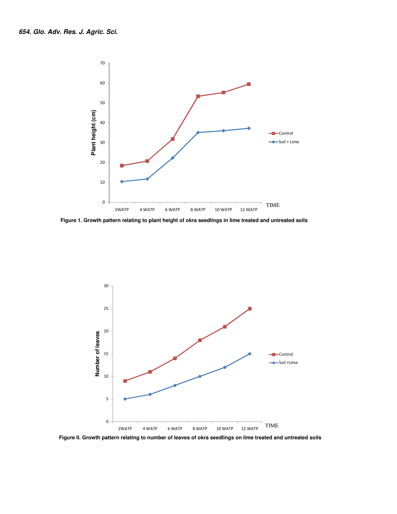

 **Figure 1. Growth pattern relating to plant height of okra seedlings in lime treated and untreated soils** 



 **Figure II. Growth pattern relating to number of leaves of okra seedlings on lime treated and untreated soils**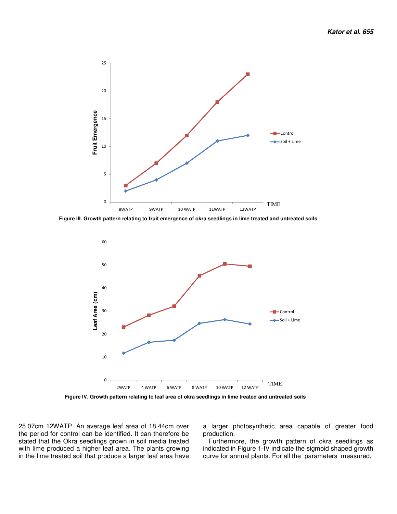

 **Figure III. Growth pattern relating to fruit emergence of okra seedlings in lime treated and untreated soils** 



 **Figure IV. Growth pattern relating to leaf area of okra seedlings in lime treated and untreated soils** 

25.07cm 12WATP. An average leaf area of 18.44cm over the period for control can be identified. It can therefore be stated that the Okra seedlings grown in soil media treated with lime produced a higher leaf area. The plants growing in the lime treated soil that produce a larger leaf area have

a larger photosynthetic area capable of greater food production.

Furthermore, the growth pattern of okra seedlings as indicated in Figure 1-IV indicate the sigmoid shaped growth curve for annual plants. For all the parameters measured,